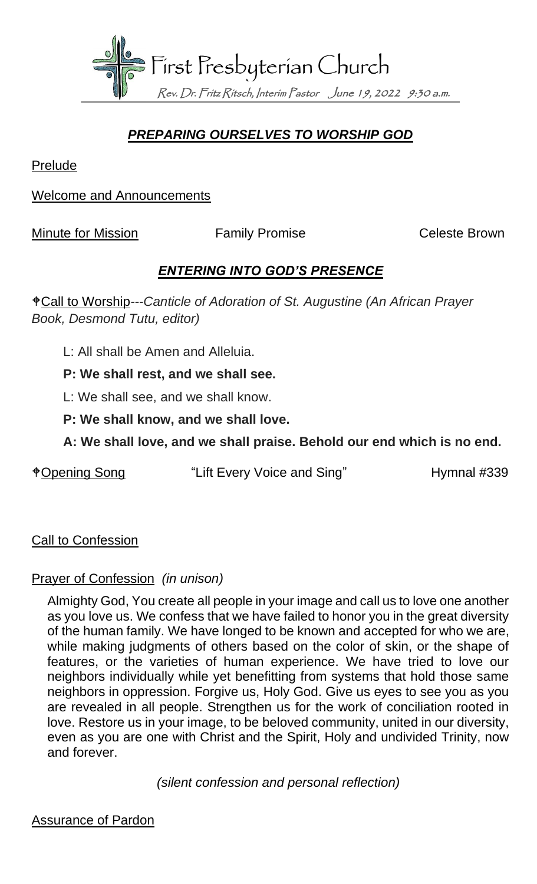

### *PREPARING OURSELVES TO WORSHIP GOD*

Prelude

Welcome and Announcements

Minute for Mission **Family Promise** Celeste Brown

#### *ENTERING INTO GOD'S PRESENCE*

Call to Worship*---Canticle of Adoration of St. Augustine (An African Prayer Book, Desmond Tutu, editor)*

L: All shall be Amen and Alleluia.

**P: We shall rest, and we shall see.**

L: We shall see, and we shall know.

- **P: We shall know, and we shall love.**
- **A: We shall love, and we shall praise. Behold our end which is no end.**

\*Opening Song "Lift Every Voice and Sing" Hymnal #339

**Call to Confession** 

#### Prayer of Confession *(in unison)*

Almighty God, You create all people in your image and call us to love one another as you love us. We confess that we have failed to honor you in the great diversity of the human family. We have longed to be known and accepted for who we are, while making judgments of others based on the color of skin, or the shape of features, or the varieties of human experience. We have tried to love our neighbors individually while yet benefitting from systems that hold those same neighbors in oppression. Forgive us, Holy God. Give us eyes to see you as you are revealed in all people. Strengthen us for the work of conciliation rooted in love. Restore us in your image, to be beloved community, united in our diversity, even as you are one with Christ and the Spirit, Holy and undivided Trinity, now and forever.

*(silent confession and personal reflection)*

Assurance of Pardon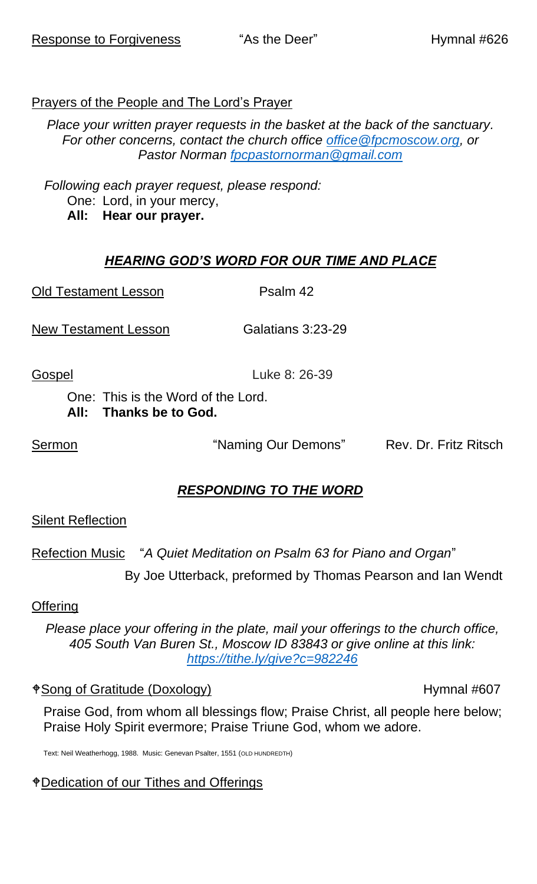# Prayers of the People and The Lord's Prayer

*Place your written prayer requests in the basket at the back of the sanctuary. For other concerns, contact the church office [office@fpcmoscow.org,](mailto:office@fpcmoscow.org) or Pastor Norman [fpcpastornorman@gmail.com](mailto:fpcpastornorman@gmail.com)*

*Following each prayer request, please respond:* One: Lord, in your mercy, **All: Hear our prayer.**

# *HEARING GOD'S WORD FOR OUR TIME AND PLACE*

Old Testament Lesson Psalm 42

New Testament Lesson Galatians 3:23-29

Gospel Luke 8: 26-39

One: This is the Word of the Lord. **All: Thanks be to God.**

Sermon **Example 20 Sermon Sermon** "Naming Our Demons" Rev. Dr. Fritz Ritsch

# *RESPONDING TO THE WORD*

## Silent Reflection

Refection Music "*A Quiet Meditation on Psalm 63 for Piano and Organ*"

By Joe Utterback, preformed by Thomas Pearson and Ian Wendt

### Offering

*Please place your offering in the plate, mail your offerings to the church office, 405 South Van Buren St., Moscow ID 83843 or give online at this link: <https://tithe.ly/give?c=982246>*

 $\triangle$ Song of Gratitude (Doxology) Hymnal #607

Praise God, from whom all blessings flow; Praise Christ, all people here below; Praise Holy Spirit evermore; Praise Triune God, whom we adore.

Text: Neil Weatherhogg, 1988. Music: Genevan Psalter, 1551 (OLD HUNDREDTH)

## Dedication of our Tithes and Offerings